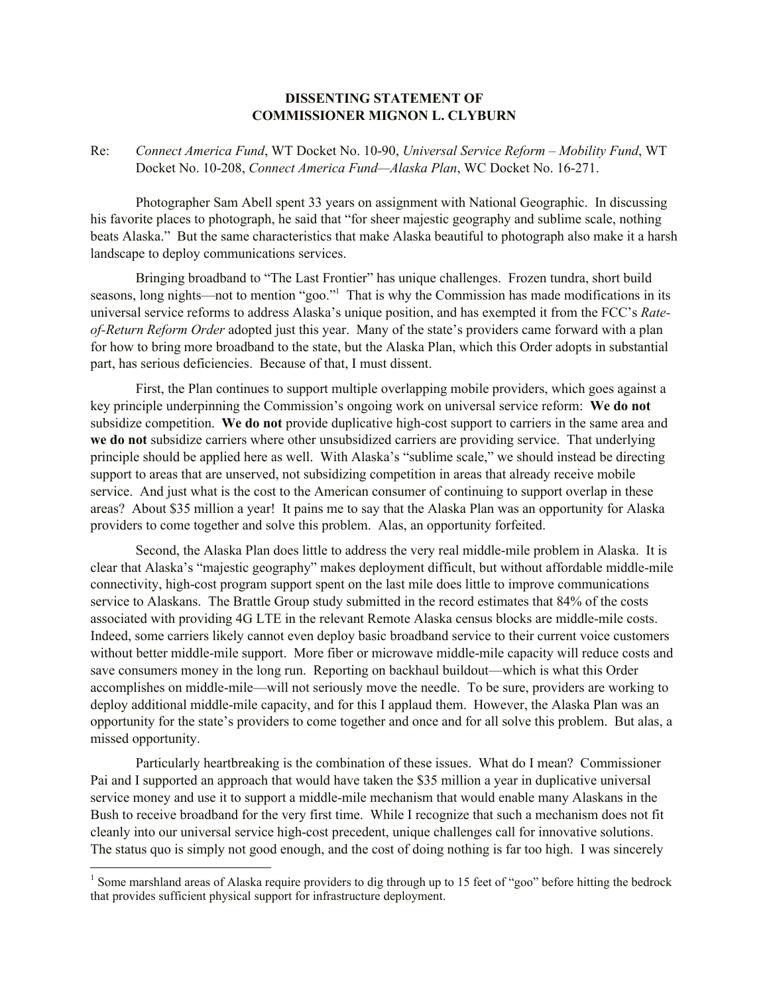## **DISSENTING STATEMENT OF COMMISSIONER MIGNON L. CLYBURN**

Re: *Connect America Fund*, WT Docket No. 10-90, *Universal Service Reform – Mobility Fund*, WT Docket No. 10-208, *Connect America Fund—Alaska Plan*, WC Docket No. 16-271.

Photographer Sam Abell spent 33 years on assignment with National Geographic. In discussing his favorite places to photograph, he said that "for sheer majestic geography and sublime scale, nothing beats Alaska." But the same characteristics that make Alaska beautiful to photograph also make it a harsh landscape to deploy communications services.

Bringing broadband to "The Last Frontier" has unique challenges. Frozen tundra, short build seasons, long nights—not to mention "goo."<sup>1</sup> That is why the Commission has made modifications in its universal service reforms to address Alaska's unique position, and has exempted it from the FCC's *Rateof-Return Reform Order* adopted just this year. Many of the state's providers came forward with a plan for how to bring more broadband to the state, but the Alaska Plan, which this Order adopts in substantial part, has serious deficiencies. Because of that, I must dissent.

First, the Plan continues to support multiple overlapping mobile providers, which goes against a key principle underpinning the Commission's ongoing work on universal service reform: **We do not** subsidize competition. **We do not** provide duplicative high-cost support to carriers in the same area and **we do not** subsidize carriers where other unsubsidized carriers are providing service. That underlying principle should be applied here as well. With Alaska's "sublime scale," we should instead be directing support to areas that are unserved, not subsidizing competition in areas that already receive mobile service. And just what is the cost to the American consumer of continuing to support overlap in these areas? About \$35 million a year! It pains me to say that the Alaska Plan was an opportunity for Alaska providers to come together and solve this problem. Alas, an opportunity forfeited.

Second, the Alaska Plan does little to address the very real middle-mile problem in Alaska. It is clear that Alaska's "majestic geography" makes deployment difficult, but without affordable middle-mile connectivity, high-cost program support spent on the last mile does little to improve communications service to Alaskans. The Brattle Group study submitted in the record estimates that 84% of the costs associated with providing 4G LTE in the relevant Remote Alaska census blocks are middle-mile costs. Indeed, some carriers likely cannot even deploy basic broadband service to their current voice customers without better middle-mile support. More fiber or microwave middle-mile capacity will reduce costs and save consumers money in the long run. Reporting on backhaul buildout—which is what this Order accomplishes on middle-mile—will not seriously move the needle. To be sure, providers are working to deploy additional middle-mile capacity, and for this I applaud them. However, the Alaska Plan was an opportunity for the state's providers to come together and once and for all solve this problem. But alas, a missed opportunity.

Particularly heartbreaking is the combination of these issues. What do I mean? Commissioner Pai and I supported an approach that would have taken the \$35 million a year in duplicative universal service money and use it to support a middle-mile mechanism that would enable many Alaskans in the Bush to receive broadband for the very first time. While I recognize that such a mechanism does not fit cleanly into our universal service high-cost precedent, unique challenges call for innovative solutions. The status quo is simply not good enough, and the cost of doing nothing is far too high. I was sincerely

 $\overline{a}$ 

<sup>&</sup>lt;sup>1</sup> Some marshland areas of Alaska require providers to dig through up to 15 feet of "goo" before hitting the bedrock that provides sufficient physical support for infrastructure deployment.